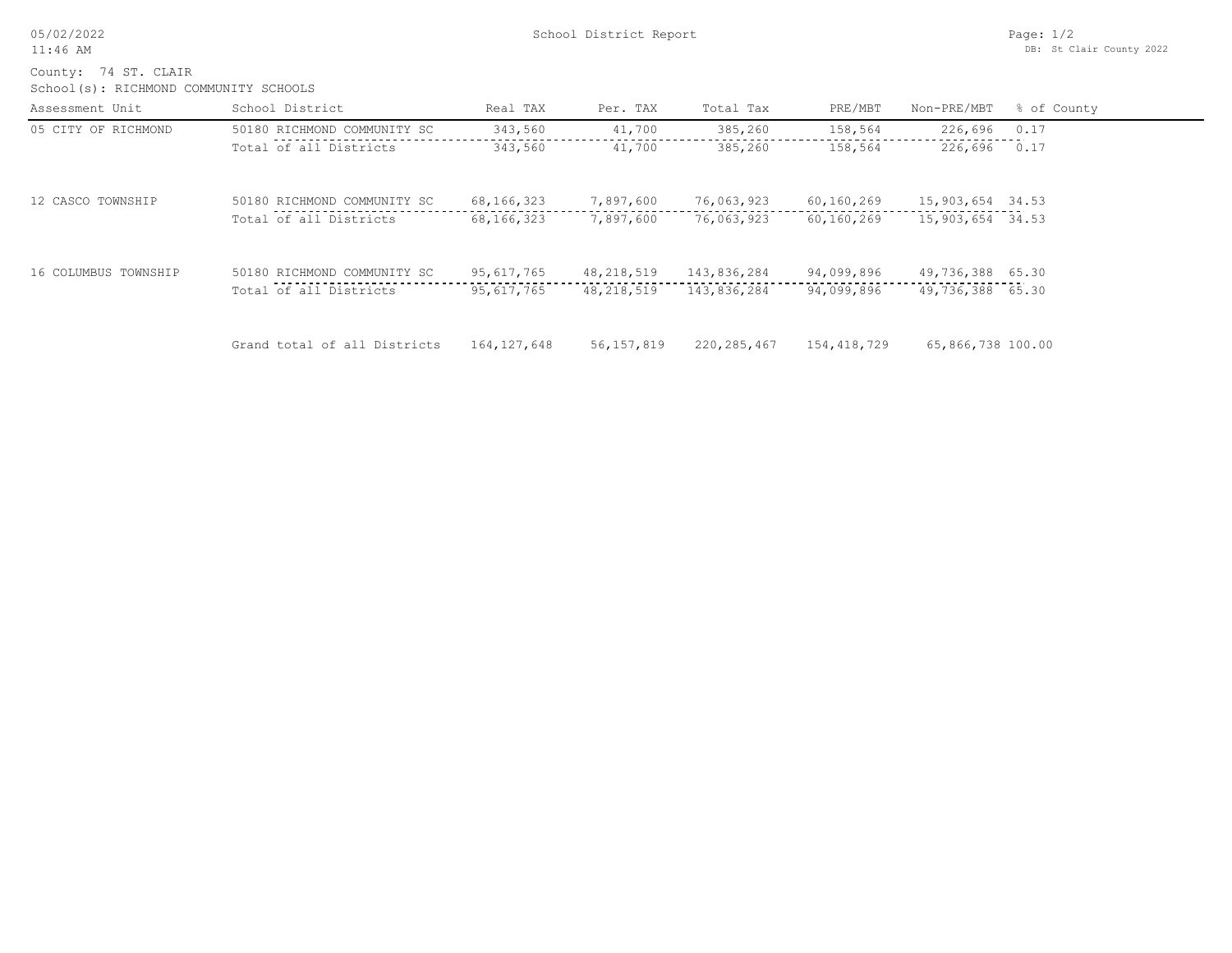05/02/2022 11:46 AM

School(s): RICHMOND COMMUNITY SCHOOLS County: 74 ST. CLAIR

| Assessment Unit      | School District              | Real TAX      | Per. TAX   | Total Tax   | PRE/MBT     | Non-PRE/MBT       | % of County |
|----------------------|------------------------------|---------------|------------|-------------|-------------|-------------------|-------------|
| 05 CITY OF RICHMOND  | 50180 RICHMOND COMMUNITY SC  | 343,560       | 41,700     | 385,260     | 158,564     | 226,696           | 0.17        |
|                      | Total of all Districts       | 343,560       | 41,700     | 385,260     | 158,564     | 226,696           | 0.17        |
| 12 CASCO TOWNSHIP    | 50180 RICHMOND COMMUNITY SC  | 68, 166, 323  | 7,897,600  | 76,063,923  | 60,160,269  | 15,903,654 34.53  |             |
|                      | Total of all Districts       | 68, 166, 323  | 7,897,600  | 76,063,923  | 60,160,269  | 15,903,654 34.53  |             |
| 16 COLUMBUS TOWNSHIP | 50180 RICHMOND COMMUNITY SC  | 95,617,765    | 48,218,519 | 143,836,284 | 94,099,896  | 49,736,388 65.30  |             |
|                      | Total of all Districts       | 95,617,765    | 48,218,519 | 143,836,284 | 94,099,896  | 49,736,388 65.30  |             |
|                      | Grand total of all Districts | 164, 127, 648 | 56,157,819 | 220,285,467 | 154,418,729 | 65,866,738 100.00 |             |